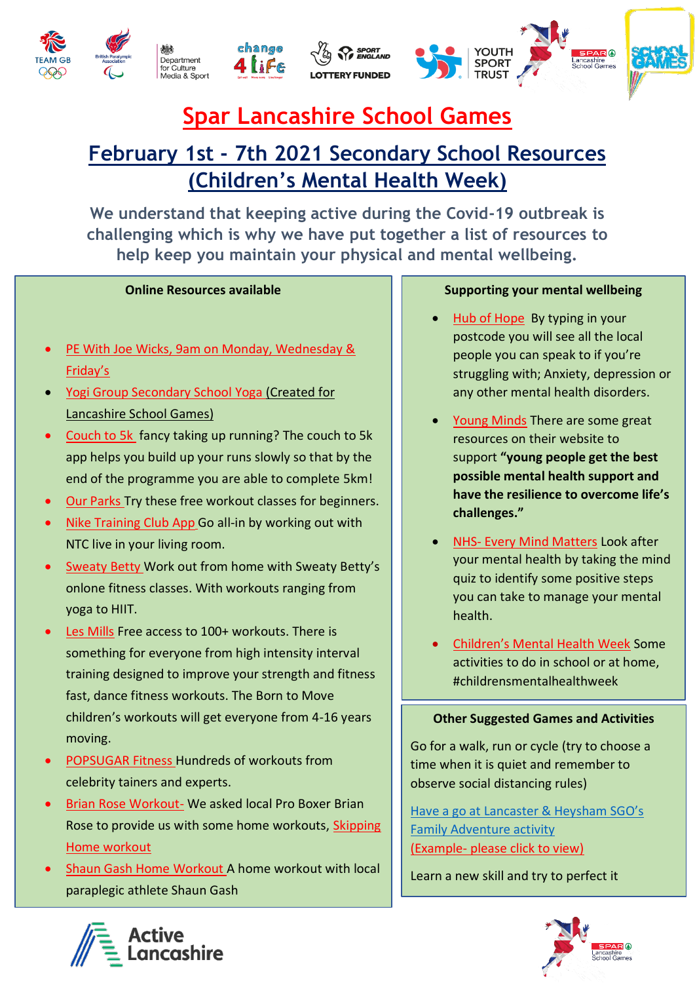





## **Spar Lancashire School Games**

**DY FUNDED** 

### **February 1st - 7th 2021 Secondary School Resources (Children's Mental Health Week)**

**We understand that keeping active during the Covid-19 outbreak is challenging which is why we have put together a list of resources to help keep you maintain your physical and mental wellbeing.**

#### **Online Resources available**

- [PE With Joe Wicks, 9am on Monday, Wednesday &](https://www.youtube.com/channel/UCAxW1XT0iEJo0TYlRfn6rYQ)  [Friday's](https://www.youtube.com/channel/UCAxW1XT0iEJo0TYlRfn6rYQ)
- [Yogi Group Secondary School Yoga](https://www.youtube.com/watch?v=JUfwt8SuelY&feature=youtu.be) (Created for Lancashire School Games)
- [Couch to 5k](https://www.nhs.uk/live-well/exercise/get-running-with-couch-to-5k/?tabname=couch-to-5k) fancy taking up running? The couch to 5k app helps you build up your runs slowly so that by the end of the programme you are able to complete 5km!
- [Our Parks Try these free workout classes for beginners.](https://ourparks.org.uk/couch-to-fitness)
- Nike [Training](https://www.nike.com/gb/ntc-app) Club App Go all-in by working out with NTC live in your living room.
- [Sweaty](https://www.sweatybetty.com/workout-videos.html) Betty Work out from home with Sweaty Betty's onlone fitness classes. With workouts ranging from yoga to HIIT.
- Les [Mills](https://watch.lesmillsondemand.com/at-home-workouts) Free access to 100+ workouts. There is something for everyone from high intensity interval training designed to improve your strength and fitness fast, dance fitness workouts. The Born to Move children's workouts will get everyone from 4-16 years moving.
- [POPSUGAR](https://www.youtube.com/channel/UCBINFWq52ShSgUFEoynfSwg) Fitness Hundreds of workouts from celebrity tainers and experts.
- Brian Rose Workout- We asked local Pro Boxer Brian Rose to provide us with some home workouts, [Skipping](https://www.youtube.com/watch?v=dvKyjjy95v0&feature=youtu.be)  [Home workout](https://www.youtube.com/watch?v=4dx0wyEFf18&t=11s)
- [Shaun Gash Home Workout](https://www.youtube.com/watch?v=pix4amMGGw4&feature=youtu.be) A home workout with local paraplegic athlete Shaun Gash

#### **Supporting your mental wellbeing**

- [Hub of Hope](https://hubofhope.co.uk/) By typing in your postcode you will see all the local people you can speak to if you're struggling with; Anxiety, depression or any other mental health disorders.
- [Young Minds](https://youngminds.org.uk/) There are some great resources on their website to support **"young people get the best possible mental health support and have the resilience to overcome life's challenges."**
- NHS- [Every Mind Matters](https://www.nhs.uk/oneyou/every-mind-matters/) Look after your mental health by taking the mind quiz to identify some positive steps you can take to manage your mental health.
- [Children's Mental Health Week](https://www.childrensmentalhealthweek.org.uk/schools-and-youth-groups/) Some activities to do in school or at home, #childrensmentalhealthweek

#### **Other Suggested Games and Activities**

Go for a walk, run or cycle (try to choose a time when it is quiet and remember to observe social distancing rules)

Have a go at [Lancaster & Heysham SGO's](https://lancashireschoolgames.co.uk/wp-content/uploads/THE-DAILY-FAMILY-ADVENTURE.pdf)  [Family Adventure activity](https://lancashireschoolgames.co.uk/wp-content/uploads/THE-DAILY-FAMILY-ADVENTURE.pdf)  (Example- [please click to view\)](https://lancashireschoolgames.co.uk/wp-content/uploads/THE-DAILY-FAMILY-ADVENTURE-TRACKER-Example.pdf)

Learn a new skill and try to perfect it